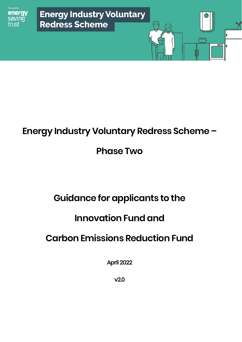

# **Energy Industry Voluntary Redress Scheme –**

# **Phase Two**

# **Guidance for applicants to the**

# **Innovation Fund and**

# **Carbon Emissions Reduction Fund**

April 2022

v2.0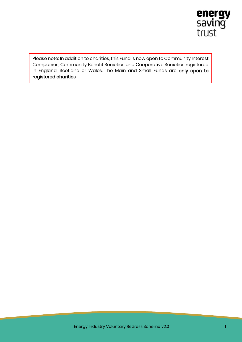

Please note: In addition to charities, this Fund is now open to Community Interest Companies, Community Benefit Societies and Cooperative Societies registered in England, Scotland or Wales. The Main and Small Funds are only open to registered charities.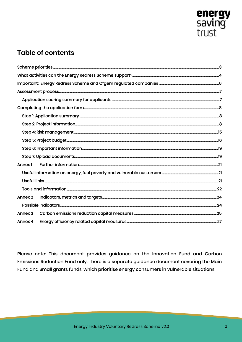

# **Table of contents**

| Annex 1 |  |
|---------|--|
|         |  |
|         |  |
|         |  |
| Annex 2 |  |
|         |  |
| Annex 3 |  |
| Annex 4 |  |

Please note: This document provides guidance on the Innovation Fund and Carbon Emissions Reduction Fund only. There is a separate guidance document covering the Main Fund and Small grants funds, which prioritise energy consumers in vulnerable situations.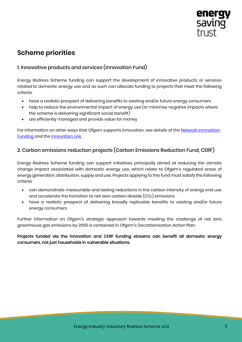

# <span id="page-3-0"></span>**Scheme priorities**

## 1. Innovative products and services (Innovation Fund)

Energy Redress Scheme funding can support the development of innovative products or services related to domestic energy use and as such can allocate funding to projects that meet the following criteria:

- have a realistic prospect of delivering benefits to existing and/or future energy consumers
- help to reduce the environmental impact of energy use (or minimise negative impacts where the scheme is delivering significant social benefit)
- are efficiently managed and provide value for money

For information on other ways that Ofgem supports innovation, see details of the **Network Innovation** [Funding](https://www.ofgem.gov.uk/network-regulation-riio-model/network-innovation) and the [Innovation Link.](https://www.ofgem.gov.uk/about-us/how-we-engage/innovation-link) 

## 2. Carbon emissions reduction projects (Carbon Emissions Reduction Fund, CERF)

Energy Redress Scheme funding can support initiatives principally aimed at reducing the climate change impact associated with domestic energy use, which relate to Ofgem's regulated areas of energy generation, distribution, supply and use. Projects applying to this fund must satisfy the following criteria:

- can demonstrate measurable and lasting reductions in the carbon intensity of energy end use and accelerate the transition to net zero carbon dioxide  $(CO_2)$  emissions
- have a realistic prospect of delivering broadly replicable benefits to existing and/or future energy consumers

Further information on Ofgem's strategic approach towards meeting the challenge of net zero greenhouse gas emissions by 2050 is contained in Ofgem's Decar[bonisation Action Plan.](https://www.ofgem.gov.uk/publications-and-updates/ofgem-s-decarbonisation-action-plan)

Projects funded via the Innovation and CERF funding streams can benefit all domestic energy consumers, not just households in vulnerable situations.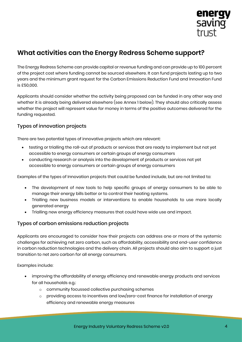

# <span id="page-4-0"></span>**What activities can the Energy Redress Scheme support?**

The Energy Redress Scheme can provide capital or revenue funding and can provide up to 100 percent of the project cost where funding cannot be sourced elsewhere. It can fund projects lasting up to two years and the minimum grant request for the Carbon Emissions Reduction Fund and Innovation Fund is £50,000.

Applicants should consider whether the activity being proposed can be funded in any other way and whether it is already being delivered elsewhere (see [Annex 1 below\)](#page-21-0). They should also critically assess whether the project will represent value for money in terms of the positive outcomes delivered for the funding requested.

## Types of innovation projects

There are two potential types of innovative projects which are relevant:

- testing or trialling the roll-out of products or services that are ready to implement but not yet accessible to energy consumers or certain groups of energy consumers
- conducting research or analysis into the development of products or services not yet accessible to energy consumers or certain groups of energy consumers

Examples of the types of Innovation projects that could be funded include, but are not limited to:

- The development of new tools to help specific groups of energy consumers to be able to manage their energy bills better or to control their heating systems.
- Trialling new business models or interventions to enable households to use more locally generated energy
- Trialling new energy efficiency measures that could have wide use and impact.

#### Types of carbon emissions reduction projects

Applicants are encouraged to consider how their projects can address one or more of the systemic challenges for achieving net zero carbon, such as affordability, accessibility and end-user confidence in carbon reduction technologies and the delivery chain. All projects should also aim to support a just transition to net zero carbon for all energy consumers.

Examples include:

- improving the affordability of energy efficiency and renewable energy products and services for all households e.g.:
	- o community focussed collective purchasing schemes
	- $\circ$  providing access to incentives and low/zero-cost finance for installation of energy efficiency and renewable energy measures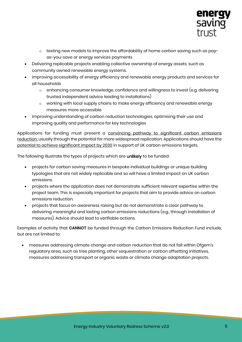

- o testing new models to improve the affordability of home carbon saving such as payas-you-save or energy services payments
- Delivering replicable projects enabling collective ownership of energy assets, such as community owned renewable energy systems.
- improving accessibility of energy efficiency and renewable energy products and services for all households
	- $\circ$  enhancing consumer knowledge, confidence and willingness to invest (e.g. delivering trusted independent advice leading to installations)
	- o working with local supply chains to make energy efficiency and renewable energy measures more accessible
- improving understanding of carbon reduction technologies, optimising their use and improving quality and performance for key technologies

Applications for funding must present a convincing pathway to significant carbon emissions reduction, usually through the potential for more widespread replication. Applications should have the potential to achieve significant impact by 2030 in support of UK carbon emissions targets.

The following illustrate the types of projects which are unlikely to be funded:

- projects for carbon saving measures in bespoke individual buildings or unique building typologies that are not widely replicable and so will have a limited impact on UK carbon emissions.
- projects where the application does not demonstrate sufficient relevant expertise within the project team. This is especially important for projects that aim to provide advice on carbon emissions reduction.
- projects that focus on awareness raising but do not demonstrate a clear pathway to delivering meaningful and lasting carbon emissions reductions (e.g., through installation of measures). Advice should lead to verifiable actions.

Examples of activity that **CANNOT** be funded through the Carbon Emissions Reduction Fund include, but are not limited to:

• measures addressing climate change and carbon reduction that do not fall within Ofgem's regulatory area, such as tree planting, other sequestration or carbon offsetting initiatives, measures addressing transport or organic waste or climate change adaptation projects.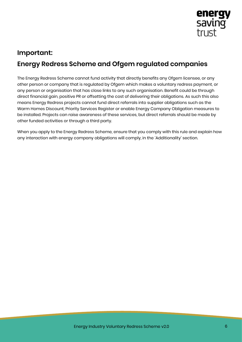

# <span id="page-6-0"></span>**Important: Energy Redress Scheme and Ofgem regulated companies**

The Energy Redress Scheme cannot fund activity that directly benefits any Ofgem licensee, or any other person or company that is regulated by Ofgem which makes a voluntary redress payment, or any person or organisation that has close links to any such organisation. Benefit could be through direct financial gain, positive PR or offsetting the cost of delivering their obligations. As such this also means Energy Redress projects cannot fund direct referrals into supplier obligations such as the Warm Homes Discount, Priority Services Register or enable Energy Company Obligation measures to be installed. Projects can raise awareness of these services, but direct referrals should be made by other funded activities or through a third party.

When you apply to the Energy Redress Scheme, ensure that you comply with this rule and explain how any interaction with energy company obligations will comply, in the 'Additionality' section.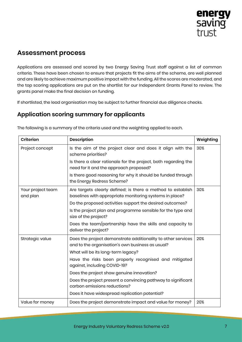

## <span id="page-7-0"></span>**Assessment process**

Applications are assessed and scored by two Energy Saving Trust staff against a list of common criteria. These have been chosen to ensure that projects fit the aims of the scheme, are well planned and are likely to achieve maximum positive impact with the funding. All the scores are moderated, and the top scoring applications are put on the shortlist for our Independent Grants Panel to review. The grants panel make the final decision on funding.

If shortlisted, the lead organisation may be subject to further financial due diligence checks.

## <span id="page-7-1"></span>**Application scoring summary for applicants**

| Criterion                     | <b>Description</b>                                                                                                     | Weighting |
|-------------------------------|------------------------------------------------------------------------------------------------------------------------|-----------|
| Project concept               | Is the aim of the project clear and does it align with the<br>scheme priorities?                                       | 30%       |
|                               | Is there a clear rationale for the project, both regarding the<br>need for it and the approach proposed?               |           |
|                               | Is there good reasoning for why it should be funded through<br>the Energy Redress Scheme?                              |           |
| Your project team<br>and plan | Are targets clearly defined; is there a method to establish<br>baselines with appropriate monitoring systems in place? | 30%       |
|                               | Do the proposed activities support the desired outcomes?                                                               |           |
|                               | Is the project plan and programme sensible for the type and<br>size of the project?                                    |           |
|                               | Does the team/partnership have the skills and capacity to<br>deliver the project?                                      |           |
| Strategic value               | Does the project demonstrate additionality to other services<br>and to the organisation's own business as usual?       | 20%       |
|                               | What will be its long-term legacy?                                                                                     |           |
|                               | Have the risks been properly recognised and mitigated<br>against, including COVID-19?                                  |           |
|                               | Does the project show genuine innovation?                                                                              |           |
|                               | Does the project present a convincing pathway to significant<br>carbon emissions reductions?                           |           |
|                               | Does it have widespread replication potential?                                                                         |           |
| Value for money               | Does the project demonstrate impact and value for money?                                                               | 20%       |

The following is a summary of the criteria used and the weighting applied to each.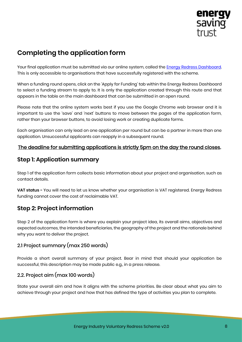

# <span id="page-8-0"></span>**Completing the application form**

Your final application must be submitted via our online system, called the [Energy Redress](https://energyredress.est.org.uk/apply) Dashboard. This is only accessible to organisations that have successfully registered with the scheme.

When a funding round opens, click on the 'Apply for Funding' tab within the Energy Redress Dashboard to select a funding stream to apply to. It is only the application created through this route and that appears in the table on the main dashboard that can be submitted in an open round.

Please note that the online system works best if you use the Google Chrome web browser and it is important to use the 'save' and 'next' buttons to move between the pages of the application form, rather than your browser buttons, to avoid losing work or creating duplicate forms.

Each organisation can only lead on one application per round but can be a partner in more than one application. Unsuccessful applicants can reapply in a subsequent round.

### The deadline for submitting applications is strictly 5pm on the day the round closes.

## <span id="page-8-1"></span>**Step 1: Application summary**

Step 1 of the application form collects basic information about your project and organisation, such as contact details.

**VAT status -** You will need to let us know whether your organisation is VAT registered. Energy Redress funding cannot cover the cost of reclaimable VAT.

## <span id="page-8-2"></span>**Step 2: Project information**

Step 2 of the application form is where you explain your project idea, its overall aims, objectives and expected outcomes, the intended beneficiaries, the geography of the project and the rationale behind why you want to deliver the project.

## 2.1 Project summary (max 250 words)

Provide a short overall summary of your project. Bear in mind that should your application be successful, this description may be made public e.g., in a press release.

## 2.2. Project aim (max 100 words)

State your overall aim and how it aligns with the scheme priorities. Be clear about what you aim to achieve through your project and how that has defined the type of activities you plan to complete.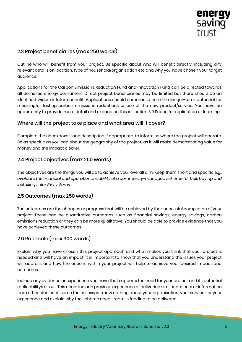

## 2.3 Project beneficiaries (max 250 words)

Outline who will benefit from your project. Be specific about who will benefit directly, including any relevant details on location, type of household/organisation etc and why you have chosen your target audience.

Applications for the Carbon Emissions Reduction Fund and Innovation Fund can be directed towards all domestic energy consumers. Direct project beneficiaries may be limited but there should be an identified wider or future benefit. Applications should summarise here the longer-term potential for meaningful, lasting carbon emissions reductions or use of the new product/service. You have an opportunity to provide more detail and expand on this in section 3.9 Scope for replication or learning.

#### Where will the project take place and what area will it cover?

Complete the checkboxes, and description if appropriate. to inform us where the project will operate. Be as specific as you can about the geography of the project, as it will make demonstrating value for money and the impact clearer.

## 2.4 Project objectives (max 250 words)

The objectives are the things you will do to achieve your overall aim. Keep them short and specific e.g., *evaluate the financial and operational viability of a community-managed scheme for bulk buying and installing solar PV systems*.

## 2.5 Outcomes (max 250 words)

The outcomes are the changes or progress that will be achieved by the successful completion of your project. These can be quantitative outcomes such as financial savings, energy savings, carbon emissions reduction or they can be more qualitative. You should be able to provide evidence that you have achieved these outcomes.

#### 2.6 Rationale (max 300 words)

Explain why you have chosen this project approach and what makes you think that your project is needed and will have an impact. It is important to show that you understand the issues your project will address and how the actions within your project will help to achieve your desired impact and outcomes.

Include any evidence or experience you have that supports the need for your project and its potential replicability/roll out. This could include previous experience of delivering similar projects or information from other studies. Assume the assessors know nothing about your organisation, your services or your experience and explain why the scheme needs redress funding to be delivered.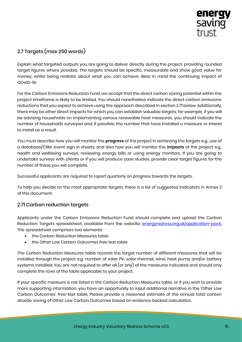

## 2.7 Targets (max 250 words)

Explain what targeted outputs you are going to deliver directly during the project, providing rounded target figures where possible. The targets should be specific, measurable and show good value for money, whilst being realistic about what you can achieve. Bear in mind the continuing impact of COVID-19.

For the Carbon Emissions Reduction Fund, we accept that the direct carbon saving potential within the project timeframe is likely to be limited. You should nonetheless indicate the direct carbon emissions reductions that you expect to achieve using the approach described in section 2.71 below. Additionally, there may be other direct impacts for which you can establish valuable targets; for example, if you will be advising households on implementing various renewable heat measures, you should indicate the number of households surveyed and, if possible, the number that have installed a measure or intend to install as a result.

You must describe how you will monitor the **progress** of the project in achieving the targets e.g., use of a database/CRM, event sign in sheets, and also how you will monitor the **impacts** of the project e.g., health and wellbeing surveys, reviewing energy bills or using energy monitors. If you are going to undertake surveys with clients or if you will produce case studies, provide clear target figures for the number of these you will complete.

Successful applicants are required to report quarterly on progress towards the targets.

To help you decide on the most appropriate targets, there is a list of suggested indicators in [Annex 2](#page-24-0) of this document.

## 2.71 Carbon reduction targets

Applicants under the Carbon Emissions Reduction Fund should complete and upload the Carbon Reduction Targets spreadsheet, available from the website: **energyredress.org.uk/application-pack.** The spreadsheet comprises two elements:

- the Carbon Reduction Measures table
- the Other Low Carbon Outcomes free text table

The Carbon Reduction Measures table records the target number of different measures that will be installed through the project e.g. number of solar PV, solar thermal, wind, heat pump and/or battery systems installed. You are not required to offer all (or any) of the measures indicated and should only complete the rows of the table applicable to your project.

If your specific measure is not listed in the Carbon Reduction Measures table, or if you wish to provide more supporting information, you have an opportunity to input additional narrative in the 'Other Low Carbon Outcomes' free-text table. Please provide a reasoned estimate of the annual total carbon dioxide saving of Other Low Carbon Outcomes based on evidence backed calculation.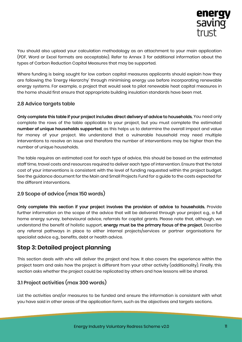

You should also upload your calculation methodology as an attachment to your main application (PDF, Word or Excel formats are acceptable). Refer to [Annex 3](#page-25-0) for additional information about the types of Carbon Reduction Capital Measures that may be supported.

Where funding is being sought for low carbon capital measures applicants should explain how they are following the 'Energy Hierarchy' through minimising energy use before incorporating renewable energy systems. For example, a project that would seek to pilot renewable heat capital measures in the home should first ensure that appropriate building insulation standards have been met.

#### 2.8 Advice targets table

Only complete this table if your project includes direct delivery of advice to households. You need only complete the rows of the table applicable to your project, but you must complete the estimated **number of unique households supported**, as this helps us to determine the overall impact and value for money of your project. We understand that a vulnerable household may need multiple interventions to resolve an issue and therefore the number of interventions may be higher than the number of unique households.

The table requires an estimated cost for each type of advice, this should be based on the estimated staff time, travel costs and resources required to deliver each type of intervention. Ensure that the total cost of your interventions is consistent with the level of funding requested within the project budget. See the guidance document for the Main and Small Projects Fund for a guide to the costs expected for the different interventions.

## 2.9 Scope of advice (max 150 words)

Only complete this section if your project involves the provision of advice to households. Provide further information on the scope of the advice that will be delivered through your project e.g., a full home energy survey, behavioural advice, referrals for capital grants. Please note that, although, we understand the benefit of holistic support, energy must be the primary focus of the project. Describe any referral pathways in place to either internal projects/services or partner organisations for specialist advice e.g., benefits, debt or health advice.

## **Step 3: Detailed project planning**

This section deals with who will deliver the project and how. It also covers the experience within the project team and asks how the project is different from your other activity (additionality). Finally, this section asks whether the project could be replicated by others and how lessons will be shared.

## 3.1 Project activities (max 300 words)

List the activities and/or measures to be funded and ensure the information is consistent with what you have said in other areas of the application form, such as the objectives and targets sections.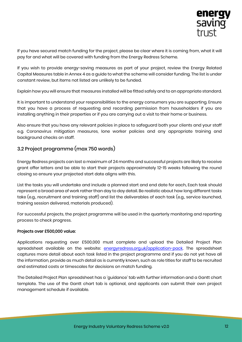

If you have secured match funding for the project, please be clear where it is coming from, what it will pay for and what will be covered with funding from the Energy Redress Scheme.

If you wish to provide energy-saving measures as part of your project, review the Energy Related Capital Measures table i[n Annex 4](#page-27-0) as a guide to what the scheme will consider funding. The list is under constant review, but items not listed are unlikely to be funded.

Explain how you will ensure that measures installed will be fitted safely and to an appropriate standard.

It is important to understand your responsibilities to the energy consumers you are supporting. Ensure that you have a process of requesting and recording permission from householders if you are installing anything in their properties or if you are carrying out a visit to their home or business.

Also ensure that you have any relevant policies in place to safeguard both your clients and your staff e.g. Coronavirus mitigation measures, lone worker policies and any appropriate training and background checks on staff.

### 3.2 Project programme (max 750 words)

Energy Redress projects can last a maximum of 24 months and successful projects are likely to receive grant offer letters and be able to start their projects approximately 12-15 weeks following the round closing so ensure your projected start date aligns with this.

List the tasks you will undertake and include a planned start and end date for each. Each task should represent a broad area of work rather than day to day detail. Be realistic about how long different tasks take (e.g., recruitment and training staff) and list the deliverables of each task (e.g., service launched, training session delivered, materials produced).

For successful projects, the project programme will be used in the quarterly monitoring and reporting process to check progress.

#### Projects over £500,000 value:

Applications requesting over £500,000 must complete and upload the Detailed Project Plan spreadsheet available on the website: [energyredress.org.uk/application-pack.](https://energyredress.org.uk/application-pack) The spreadsheet captures more detail about each task listed in the project programme and if you do not yet have all the information, provide as much detail as is currently known, such as role titles for staff to be recruited and estimated costs or timescales for decisions on match funding.

The Detailed Project Plan spreadsheet has a 'guidance' tab with further information and a Gantt chart template. The use of the Gantt chart tab is optional, and applicants can submit their own project management schedule if available.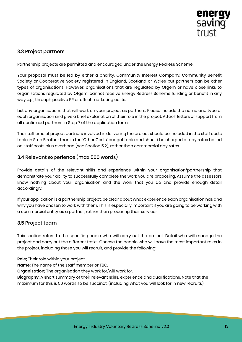

## 3.3 Project partners

Partnership projects are permitted and encouraged under the Energy Redress Scheme.

Your proposal must be led by either a charity, Community Interest Company, Community Benefit Society or Cooperative Society registered in England, Scotland or Wales but partners can be other types of organisations. However, organisations that are regulated by Ofgem or have close links to organisations regulated by Ofgem, cannot receive Energy Redress Scheme funding or benefit in any way e.g., through positive PR or offset marketing costs.

List any organisations that will work on your project as partners. Please include the name and type of each organisation and give a brief explanation of their role in the project. Attach letters of support from all confirmed partners in Step 7 of the application form.

The staff time of project partners involved in delivering the project should be included in the staff costs table in Step 5 rather than in the 'Other Costs' budget table and should be charged at day rates based on staff costs plus overhead (see Section 5.2), rather than commercial day rates.

## 3.4 Relevant experience (max 500 words)

Provide details of the relevant skills and experience within your organisation/partnership that demonstrate your ability to successfully complete the work you are proposing. Assume the assessors know nothing about your organisation and the work that you do and provide enough detail accordingly.

If your application is a partnership project, be clear about what experience each organisation has and why you have chosen to work with them. This is especially important if you are going to be working with a commercial entity as a partner, rather than procuring their services.

#### 3.5 Project team

This section refers to the specific people who will carry out the project. Detail who will manage the project and carry out the different tasks. Choose the people who will have the most important roles in the project, including those you will recruit, and provide the following:

**Role**: Their role within your project.

**Name**: The name of the staff member or TBC.

**Organisation**: The organisation they work for/will work for.

**Biography**: A short summary of their relevant skills, experience and qualifications. Note that the maximum for this is 50 words so be succinct, (including what you will look for in new recruits).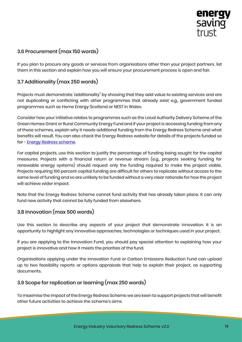

## 3.6 Procurement (max 150 words)

If you plan to procure any goods or services from organisations other than your project partners, list them in this section and explain how you will ensure your procurement process is open and fair.

## 3.7 Additionality (max 250 words)

Projects must demonstrate 'additionality" by showing that they add value to existing services and are not duplicating or conflicting with other programmes that already exist e.g., government funded programmes such as Home Energy Scotland or NEST in Wales.

Consider how your initiative relates to programmes such as the Local Authority Delivery Scheme of the Green Homes Grant or Rural Community Energy Fund and if your project is accessing funding from any of these schemes, explain why it needs additional funding from the Energy Redress Scheme and what benefits will result. You can also check the Energy Redress website for details of the projects funded so far - [Energy Redress scheme.](https://energyredress.org.uk/projects)

For capital projects, use this section to justify the percentage of funding being sought for the capital measures. Projects with a financial return or revenue stream (e.g., projects seeking funding for renewable energy systems) should request only the funding required to make the project viable. Projects requiring 100 percent capital funding are difficult for others to replicate without access to the same level of funding and so are unlikely to be funded without a very clear rationale for how the project will achieve wider impact.

Note that the Energy Redress Scheme cannot fund activity that has already taken place. It can only fund new activity that cannot be fully funded from elsewhere.

## 3.8 Innovation (max 500 words)

Use this section to describe any aspects of your project that demonstrate innovation. It is an opportunity to highlight any innovative approaches, technologies or techniques used in your project.

If you are applying to the Innovation Fund, you should pay special attention to explaining how your project is innovative and how it meets the priorities of the fund.

Organisations applying under the Innovation Fund or Carbon Emissions Reduction Fund can upload up to two feasibility reports or options appraisals that help to explain their project, as supporting documents.

## 3.9 Scope for replication or learning (max 250 words)

To maximise the impact of the Energy Redress Scheme we are keen to support projects that will benefit other future activities to achieve the scheme's aims.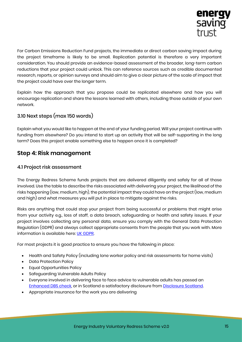

For Carbon Emissions Reduction Fund projects, the immediate or direct carbon saving impact during the project timeframe is likely to be small. Replication potential is therefore a very important consideration. You should provide an evidence-based assessment of the broader, long-term carbon reductions that your project could unlock. This can reference sources such as credible documented research, reports, or opinion surveys and should aim to give a clear picture of the scale of impact that the project could have over the longer term.

Explain how the approach that you propose could be replicated elsewhere and how you will encourage replication and share the lessons learned with others, including those outside of your own network.

## 3.10 Next steps (max 150 words)

Explain what you would like to happen at the end of your funding period. Will your project continue with funding from elsewhere? Do you intend to start up an activity that will be self-supporting in the long term? Does this project enable something else to happen once it is completed?

## <span id="page-15-0"></span>**Step 4: Risk management**

#### 4.1 Project risk assessment

The Energy Redress Scheme funds projects that are delivered diligently and safely for all of those involved. Use the table to describe the risks associated with delivering your project, the likelihood of the risks happening (low, medium, high), the potential impact they could have on the project (low, medium and high) and what measures you will put in place to mitigate against the risks.

Risks are anything that could stop your project from being successful or problems that might arise from your activity e.g., loss of staff, a data breach, safeguarding or health and safety issues. If your project involves collecting any personal data, ensure you comply with the General Data Protection Regulation (GDPR) and always collect appropriate consents from the people that you work with. More information is available here: [UK GDPR.](https://uk-gdpr.org/)

For most projects it is good practice to ensure you have the following in place:

- Health and Safety Policy (including lone worker policy and risk assessments for home visits)
- Data Protection Policy
- Equal Opportunities Policy
- Safeguarding Vulnerable Adults Policy
- Everyone involved in delivering face to face advice to vulnerable adults has passed an [Enhanced DBS check,](https://www.gov.uk/dbs-check-applicant-criminal-record/get-a-standard-or-enhanced-dbs-check-for-an-employee) or in Scotland a satisfactory disclosure from [Disclosure Scotland.](http://www.disclosurescotland.co.uk/)
- Appropriate insurance for the work you are delivering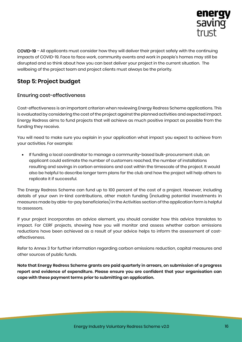

COVID-19 – All applicants must consider how they will deliver their project safely with the continuing impacts of COVID-19. Face to face work, community events and work in people's homes may still be disrupted and so think about how you can best deliver your project in the current situation. The wellbeing of the project team and project clients must always be the priority.

## <span id="page-16-0"></span>**Step 5: Project budget**

#### Ensuring cost-effectiveness

Cost-effectiveness is an important criterion when reviewing Energy Redress Scheme applications. This is evaluated by considering the cost of the project against the planned activities and expected impact. Energy Redress aims to fund projects that will achieve as much positive impact as possible from the funding they receive.

You will need to make sure you explain in your application what impact you expect to achieve from your activities. For example:

• If funding a local coordinator to manage a community-based bulk-procurement club, an applicant could estimate the number of customers reached, the number of installations resulting and savings in carbon emissions and cost within the timescale of the project. It would also be helpful to describe longer term plans for the club and how the project will help others to replicate it if successful.

The Energy Redress Scheme can fund up to 100 percent of the cost of a project. However, including details of your own in-kind contributions, other match funding (including potential investments in measures made by able-to-pay beneficiaries) in the Activities section of the application form is helpful to assessors.

If your project incorporates an advice element, you should consider how this advice translates to impact. For CERF projects, showing how you will monitor and assess whether carbon emissions reductions have been achieved as a result of your advice helps to inform the assessment of costeffectiveness.

Refer to Annex 3 for further information regarding carbon emissions reduction, capital measures and other sources of public funds.

**Note that Energy Redress Scheme grants are paid quarterly in arrears, on submission of a progress report and evidence of expenditure. Please ensure you are confident that your organisation can cope with these payment terms prior to submitting an application.**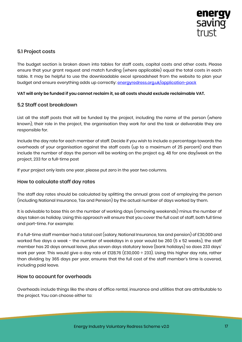

### 5.1 Project costs

The budget section is broken down into tables for staff costs, capital costs and other costs. Please ensure that your grant request and match funding (where applicable) equal the total costs in each table. It may be helpful to use the downloadable excel spreadsheet from the website to plan your budget and ensure everything adds up correctly: [energyredress.org.uk/application-pack](https://energyredress.org.uk/application-pack)

#### **VAT will only be funded if you cannot reclaim it, so all costs should exclude reclaimable VAT.**

#### 5.2 Staff cost breakdown

List all the staff posts that will be funded by the project, including the name of the person (where known), their role in the project, the organisation they work for and the task or deliverable they are responsible for.

Include the day rate for each member of staff. Decide if you wish to include a percentage towards the overheads of your organisation against the staff costs (up to a maximum of 25 percent) and then include the number of days the person will be working on the project e.g. 48 for one day/week on the project, 233 for a full-time post

If your project only lasts one year, please put zero in the year two columns.

#### How to calculate staff day rates

The staff day rates should be calculated by splitting the annual gross cost of employing the person (including National Insurance, Tax and Pension) by the actual number of days worked by them.

It is advisable to base this on the number of working days (removing weekends) minus the number of days taken as holiday. Using this approach will ensure that you cover the full cost of staff, both full time and part-time. For example:

If a full-time staff member had a total cost (salary, National Insurance, tax and pension) of £30,000 and worked five days a week - the number of weekdays in a year would be 260 (5 x 52 weeks), the staff member has 20 days annual leave, plus seven days statutory leave (bank holidays) so does 233 days' work per year. This would give a day rate of £128.76 (£30,000 ÷ 233). Using this higher day rate, rather than dividing by 365 days per year, ensures that the full cost of the staff member's time is covered, including paid leave.

#### How to account for overheads

Overheads include things like the share of office rental, insurance and utilities that are attributable to the project. You can choose either to: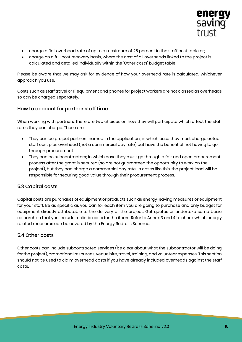

- charge a flat overhead rate of up to a maximum of 25 percent in the staff cost table or;
- charge on a full cost recovery basis, where the cost of all overheads linked to the project is calculated and detailed individually within the 'Other costs' budget table

Please be aware that we may ask for evidence of how your overhead rate is calculated, whichever approach you use.

Costs such as staff travel or IT equipment and phones for project workers are not classed as overheads so can be charged separately.

#### How to account for partner staff time

When working with partners, there are two choices on how they will participate which affect the staff rates they can charge. These are:

- They can be project partners named in the application; in which case they must charge actual staff cost plus overhead (not a commercial day rate) but have the benefit of not having to go through procurement.
- They can be subcontractors; in which case they must go through a fair and open procurement process after the grant is secured (so are not guaranteed the opportunity to work on the project), but they can charge a commercial day rate. In cases like this, the project lead will be responsible for securing good value through their procurement process.

#### 5.3 Capital costs

Capital costs are purchases of equipment or products such as energy-saving measures or equipment for your staff. Be as specific as you can for each item you are going to purchase and only budget for equipment directly attributable to the delivery of the project. Get quotes or undertake some basic research so that you include realistic costs for the items. Refer to Annex 3 and 4 to check which energy related measures can be covered by the Energy Redress Scheme.

#### 5.4 Other costs

Other costs can include subcontracted services (be clear about what the subcontractor will be doing for the project), promotional resources, venue hire, travel, training, and volunteer expenses. This section should not be used to claim overhead costs if you have already included overheads against the staff costs.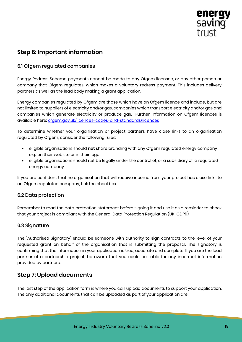

## <span id="page-19-0"></span>**Step 6: Important information**

#### 6.1 Ofgem regulated companies

Energy Redress Scheme payments cannot be made to any Ofgem licensee, or any other person or company that Ofgem regulates, which makes a voluntary redress payment. This includes delivery partners as well as the lead body making a grant application.

Energy companies regulated by Ofgem are those which have an Ofgem licence and include, but are not limited to, suppliers of electricity and/or gas, companies which transport electricity and/or gas and companies which generate electricity or produce gas. Further information on Ofgem licences is available here: [ofgem.gov.uk/licences-codes-and-standards/licences](https://www.ofgem.gov.uk/licences-codes-and-standards/licences)

To determine whether your organisation or project partners have close links to an organisation regulated by Ofgem, consider the following rules:

- eligible organisations should **not** share branding with any Ofgem regulated energy company e.g., on their website or in their logo
- eligible organisations should **not** be legally under the control of, or a subsidiary of, a regulated energy company

If you are confident that no organisation that will receive income from your project has close links to an Ofgem regulated company, tick the checkbox.

#### 6.2 Data protection

Remember to read the data protection statement before signing it and use it as a reminder to check that your project is compliant with the General Data Protection Regulation (UK-GDPR).

#### 6.3 Signature

The "Authorised Signatory" should be someone with authority to sign contracts to the level of your requested grant on behalf of the organisation that is submitting the proposal. The signatory is confirming that the information in your application is true, accurate and complete. If you are the lead partner of a partnership project, be aware that you could be liable for any incorrect information provided by partners.

## <span id="page-19-1"></span>**Step 7: Upload documents**

The last step of the application form is where you can upload documents to support your application. The only additional documents that can be uploaded as part of your application are: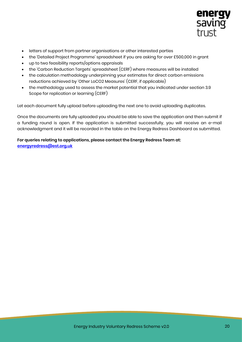

- letters of support from partner organisations or other interested parties
- the 'Detailed Project Programme' spreadsheet if you are asking for over £500,000 in grant
- up to two feasibility reports/options appraisals
- the 'Carbon Reduction Targets' spreadsheet (CERF) where measures will be installed
- the calculation methodology underpinning your estimates for direct carbon emissions reductions achieved by 'Other LoCO2 Measures' (CERF, if applicable)
- the methodology used to assess the market potential that you indicated under section 3.9 Scope for replication or learning (CERF)

Let each document fully upload before uploading the next one to avoid uploading duplicates.

Once the documents are fully uploaded you should be able to save the application and then submit if a funding round is open. If the application is submitted successfully, you will receive an e-mail acknowledgment and it will be recorded in the table on the Energy Redress Dashboard as submitted.

#### **For queries relating to applications, please contact the Energy Redress Team at: [energyredress@est.org.uk](mailto:energyredress@est.org.uk)**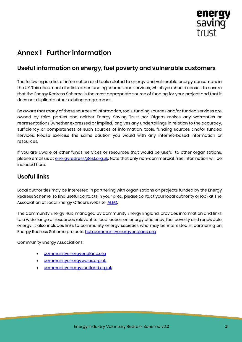

# <span id="page-21-0"></span>**Annex 1 Further information**

## <span id="page-21-1"></span>**Useful information on energy, fuel poverty and vulnerable customers**

The following is a list of information and tools related to energy and vulnerable energy consumers in the UK. This document also lists other funding sources and services, which you should consult to ensure that the Energy Redress Scheme is the most appropriate source of funding for your project and that it does not duplicate other existing programmes.

Be aware that many of these sources of information, tools, funding sources and/or funded services are owned by third parties and neither Energy Saving Trust nor Ofgem makes any warranties or representations (whether expressed or implied) or gives any undertakings in relation to the accuracy, sufficiency or completeness of such sources of information, tools, funding sources and/or funded services. Please exercise the same caution you would with any internet-based information or resources.

If you are aware of other funds, services or resources that would be useful to other organisations, please email us a[t energyredress@est.org.uk.](mailto:energyredress@est.org.uk) Note that only non-commercial, free information will be included here.

## <span id="page-21-2"></span>**Useful links**

Local authorities may be interested in partnering with organisations on projects funded by the Energy Redress Scheme. To find useful contacts in your area, please contact your local authority or look at The Association of Local Energy Officers website: [ALEO.](https://www.aleo.org.uk/)

The Community Energy Hub, managed by Community Energy England, provides information and links to a wide range of resources relevant to local action on energy efficiency, fuel poverty and renewable energy. It also includes links to community energy societies who may be interested in partnering on Energy Redress Scheme projects: [hub.communityenergyengland.org](http://hub.communityenergyengland.org/)

Community Energy Associations:

- [communityenergyengland.org](https://communityenergyengland.org/)
- [communityenergywales.org.uk](http://communityenergywales.org.uk/)
- [communityenergyscotland.org.uk](http://communityenergyscotland.org.uk/)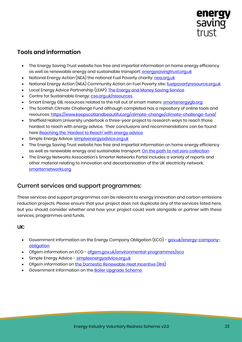

## <span id="page-22-0"></span>**Tools and information**

- The Energy Saving Trust website has free and impartial information on home energy efficiency as well as renewable energy and sustainable transport: [energysavingtrust.org.uk](http://www.energysavingtrust.org.uk/)
- National Energy Action (NEA) the national Fuel Poverty charity: [nea.org.uk](http://www.nea.org.uk/)
- National Energy Action (NEA) Community Action on Fuel Poverty site: [fuelpovertyresource.org.uk](https://www.fuelpovertyresource.org.uk/)
- Local Energy Advice Partnership (LEAP): [The Energy and Money Saving Service](https://applyforleap.org.uk/)
- Centre for Sustainable Energy: [cse.org.uk/resources](https://www.cse.org.uk/resources)
- Smart Energy GB, resources related to the roll out of smart meters: [smartenergygb.org](https://www.smartenergygb.org/en)
- The Scottish Climate Challenge Fund although completed has a repository of online tools and resources: <https://www.keepscotlandbeautiful.org/climate-change/climate-challenge-fund/>
- Sheffield Hallam University undertook a three-year project to research ways to reach those hardest to reach with energy advice. Their conclusions and recommendations can be found here [Reaching the 'Hardest to Reach' with energy advice](https://www.shu.ac.uk/centre-regional-economic-social-research/publications/reaching-the-hardest-to-reach-with-energy-advice-final-report)
- Simple Energy Advice: [simpleenergyadvice.org.uk](https://www.simpleenergyadvice.org.uk/)
- The Energy Saving Trust website has free and impartial information on home energy efficiency as well as renewable energy and sustainable transport: [On the path to net zero collection](https://energysavingtrust.org.uk/collection/on-the-path-to-net-zero/)
- The Energy Networks Association's Smarter Networks Portal includes a variety of reports and other material relating to innovation and decarbonisation of the UK electricity network: [smarternetworks.org](https://www.smarternetworks.org/)

## Current services and support programmes:

These services and support programmes can be relevant to energy innovation and carbon emissions reduction projects. Please ensure that your project does not duplicate any of the services listed here, but you should consider whether and how your project could work alongside or partner with these services, programmes and funds.

#### UK:

- Government information on the Energy Company Obligation (ECO) [gov.uk/energy-company](https://www.gov.uk/energy-company-obligation)[obligation](https://www.gov.uk/energy-company-obligation)
- Ofgem information on ECO [ofgem.gov.uk/environmental-programmes/eco](https://www.ofgem.gov.uk/environmental-programmes/eco)
- Simple Energy Advice [simpleenergyadvice.org.uk](https://www.simpleenergyadvice.org.uk/)
- Ofgem information on th[e Domestic Renewable Heat Incentive](https://www.ofgem.gov.uk/environmental-programmes/domestic-rhi) (RHI)
- Government information on the [Boiler Upgrade Scheme](https://www.gov.uk/guidance/check-if-you-may-be-eligible-for-the-boiler-upgrade-scheme-from-april-2022)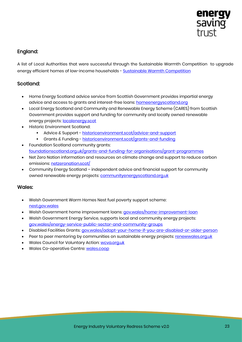

### England:

A list of Local Authorities that were successful through the Sustainable Warmth Competition to upgrade energy efficient homes of low-income households - [Sustainable Warmth Competition](https://www.gov.uk/government/publications/sustainable-warmth-competition-successful-local-authorities)

#### Scotland:

- Home Energy Scotland advice service from Scottish Government provides impartial energy advice and access to grants and interest-free loans: [homeenergyscotland.org](https://www.homeenergyscotland.org/)
- Local Energy Scotland and Community and Renewable Energy Scheme (CARES) from Scottish Government provides support and funding for community and locally owned renewable energy projects: [localenergy.scot](https://www.localenergy.scot/)
- Historic Environment Scotland:
	- Advice & Support historicenvironment.scot/advice-and-support
	- **EXECTE AT A FUNDING historicenvironment.scot/grants-and-funding**
- Foundation Scotland community grants: [foundationscotland.org.uk/grants-and-funding-for-organisations/grant-programmes](https://www.foundationscotland.org.uk/grants-and-funding-for-organisations/grant-programmes/)
- Net Zero Nation information and resources on climate change and support to reduce carbon emissions: [netzeronation.scot/](https://www.netzeronation.scot/)
- Community Energy Scotland independent advice and financial support for community owned renewable energy projects[: communityenergyscotland.org.uk](http://www.communityenergyscotland.org.uk/)

#### Wales:

- Welsh Government Warm Homes Nest fuel poverty support scheme: [nest.gov.wales](https://nest.gov.wales/en/)
- Welsh Government home improvement loans: [gov.wales/home-improvement-loan](https://gov.wales/home-improvement-loan)
- Welsh Government Energy Service, supports local and community energy projects: [gov.wales/energy-service-public-sector-and-community-groups](https://gov.wales/energy-service-public-sector-and-community-groups)
- Disabled Facilities Grants[: gov.wales/adapt-your-home-if-you-are-disabled-or-older-person](https://gov.wales/adapt-your-home-if-you-are-disabled-or-older-person)
- Peer to peer mentoring by communities on sustainable energy projects: [renewwales.org.uk](https://www.renewwales.org.uk/)
- Wales Council for Voluntary Action: [wcva.org.uk](https://www.wcva.org.uk/)
- Wales Co-operative Centre: [wales.coop](http://wales.coop/)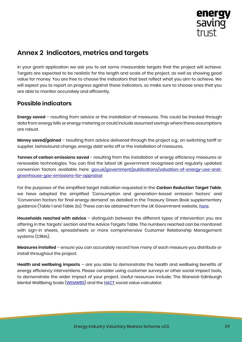

## <span id="page-24-0"></span>**Annex 2 Indicators, metrics and targets**

In your grant application we ask you to set some measurable targets that the project will achieve. Targets are expected to be realistic for the length and scale of the project, as well as showing good value for money. You are free to choose the indicators that best reflect what you aim to achieve. We will expect you to report on progress against these indicators, so make sure to choose ones that you are able to monitor accurately and efficiently.

## <span id="page-24-1"></span>**Possible indicators**

**Energy saved** – resulting from advice or the installation of measures. This could be tracked through data from energy bills or energy metering or could include assumed savings where these assumptions are robust.

**Money saved/gained** – resulting from advice delivered through the project e.g., on switching tariff or supplier, behavioural change, energy debt write off or the installation of measures.

**Tonnes of carbon emissions saved** - resulting from the installation of energy efficiency measures or renewable technologies. You can find the latest UK government recognised and regularly updated conversion factors available here: *[gov.uk/government/publications/valuation-of-energy-use-and](https://www.gov.uk/government/publications/valuation-of-energy-use-and-greenhouse-gas-emissions-for-appraisal)*[greenhouse-gas-emissions-for-appraisal](https://www.gov.uk/government/publications/valuation-of-energy-use-and-greenhouse-gas-emissions-for-appraisal)

For the purposes of the simplified target indication requested in the *Carbon Reduction Target Table*, we have adopted the simplified 'Consumption and generation-based emission factors' and 'Conversion factors for final energy demand' as detailed in the Treasury Green Book supplementary guidance (Table 1 and Table 2a). These can be obtained from the UK Government website, [here.](https://assets.publishing.service.gov.uk/government/uploads/system/uploads/attachment_data/file/793632/data-tables-1-19.xlsx)

**Households reached with advice** – distinguish between the different types of intervention you are offering in the 'targets' section and the Advice Targets Table. The numbers reached can be monitored with sign-in sheets, spreadsheets or more comprehensive Customer Relationship Management systems (CRMs).

**Measures installed** – ensure you can accurately record how many of each measure you distribute or install throughout the project.

**Health and wellbeing impacts** – are you able to demonstrate the health and wellbeing benefits of energy efficiency interventions. Please consider using customer surveys or other social impact tools, to demonstrate the wider impact of your project. Useful resources include; The Warwick-Edinburgh Mental WellBeing Scale [\(WEMWBS\)](http://www.healthscotland.scot/tools-and-resources/wemwb-scale-and-mental-health-indicators/wemwbs) and the [HACT](https://hact.org.uk/tools-and-services/uk-social-value-bank/) social value calculator.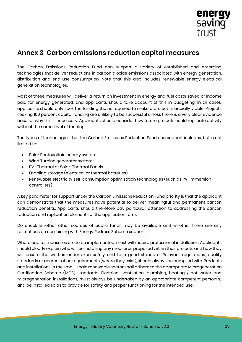

## <span id="page-25-0"></span>**Annex 3 Carbon emissions reduction capital measures**

The Carbon Emissions Reduction Fund can support a variety of established and emerging technologies that deliver reductions in carbon dioxide emissions associated with energy generation, distribution and end-use consumption. Note that this also includes renewable energy electrical generation technologies.

Most of these measures will deliver a return on investment in energy and fuel costs saved or income paid for energy generated, and applicants should take account of this in budgeting. In all cases, applicants should only seek the funding that is required to make a project financially viable. Projects seeking 100 percent capital funding are unlikely to be successful unless there is a very clear evidence base for why this is necessary. Applicants should consider how future projects could replicate activity without the same level of funding.

The types of technologies that the Carbon Emissions Reduction Fund can support includes, but is not limited to:

- Solar Photovoltaic energy systems
- Wind Turbine generator systems
- PV -Thermal or Solar-Thermal Panels
- Enabling storage (electrical or thermal batteries)
- Renewable electricity self-consumption optimisation technologies (such as PV-immersion controllers)

A key parameter for support under the Carbon Emissions Reduction Fund priority is that the applicant can demonstrate that the measures have potential to deliver meaningful and permanent carbon reduction benefits. Applicants should therefore pay particular attention to addressing the carbon reduction and replication elements of the application form.

Do check whether other sources of public funds may be available and whether there are any restrictions on combining with Energy Redress Scheme support.

Where capital measures are to be implemented, most will require professional installation. Applicants should clearly explain who will be installing any measures proposed within their projects and how they will ensure the work is undertaken safely and to a good standard. Relevant regulations, quality standards or accreditation requirements (where they exist), should always be complied with. Products and installations in the small-scale renewable sector shall adhere to the appropriate Microgeneration Certification Scheme (MCS) standards. Electrical, ventilation, plumbing, heating / hot water and microgeneration installations, must always be undertaken by an appropriate competent person(s) and be installed so as to provide for safety and proper functioning for the intended use.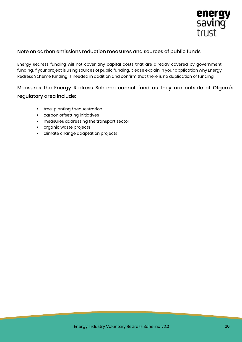

#### Note on carbon emissions reduction measures and sources of public funds

Energy Redress funding will not cover any capital costs that are already covered by government funding. If your project is using sources of public funding, please explain in your application why Energy Redress Scheme funding is needed in addition and confirm that there is no duplication of funding.

## Measures the Energy Redress Scheme cannot fund as they are outside of Ofgem's regulatory area include:

- **•** tree-planting / sequestration
- carbon offsetting initiatives
- **·** measures addressing the transport sector
- organic waste projects
- climate change adaptation projects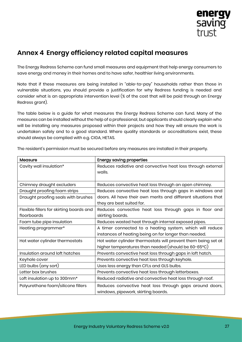

# <span id="page-27-0"></span>**Annex 4 Energy efficiency related capital measures**

The Energy Redress Scheme can fund small measures and equipment that help energy consumers to save energy and money in their homes and to have safer, healthier living environments.

Note that if these measures are being installed in "able-to-pay" households rather than those in vulnerable situations, you should provide a justification for why Redress funding is needed and consider what is an appropriate intervention level (% of the cost that will be paid through an Energy Redress grant).

The table below is a guide for what measures the Energy Redress Scheme can fund. Many of the measures can be installed without the help of a professional, but applicants should clearly explain who will be installing any measures proposed within their projects and how they will ensure the work is undertaken safely and to a good standard. Where quality standards or accreditations exist, these should always be complied with e.g. CIGA, HETAS.

| Measure                                  | <b>Energy saving properties</b>                                |
|------------------------------------------|----------------------------------------------------------------|
| Cavity wall insulation*                  | Reduces radiative and convective heat loss through external    |
|                                          | walls.                                                         |
|                                          |                                                                |
| Chimney draught excluders                | Reduces convective heat loss through an open chimney.          |
| Draught proofing foam strips             | Reduces convective heat loss through gaps in windows and       |
| Draught proofing seals with brushes      | doors. All have their own merits and different situations that |
|                                          | they are best suited for.                                      |
| Flexible fillers for skirting boards and | Reduces convective heat loss through gaps in floor and         |
| floorboards                              | skirting boards.                                               |
| Foam tube pipe insulation                | Reduces wasted heat through internal exposed pipes.            |
| Heating programmer*                      | A timer connected to a heating system, which will reduce       |
|                                          | instances of heating being on for longer than needed.          |
| Hot water cylinder thermostats           | Hot water cylinder thermostats will prevent them being set at  |
|                                          | higher temperatures than needed (should be 60-65°C)            |
| Insulation around loft hatches           | Prevents convective heat loss through gaps in loft hatch.      |
| Keyhole cover                            | Prevents convective heat loss through keyhole.                 |
| LED bulbs (any sort)                     | Uses less energy than CFLs and GLS bulbs.                      |
| Letter box brushes                       | Prevents convective heat loss through letterboxes.             |
| Loft insulation up to 300mm*             | Reduced radiative and convective heat loss through roof.       |
| Polyurethane foam/silicone fillers       | Reduces convective heat loss through gaps around doors,        |
|                                          | windows, pipework, skirting boards.                            |

The resident's permission must be secured before any measures are installed in their property.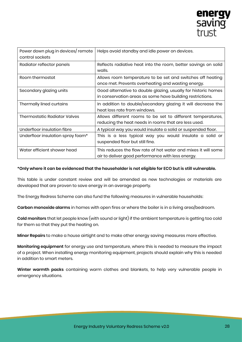

| Power down plug in devices/ remote<br>control sockets | Helps avoid standby and idle power on devices.                                                                              |
|-------------------------------------------------------|-----------------------------------------------------------------------------------------------------------------------------|
| Radiator reflector panels                             | Reflects radiative heat into the room, better savings on solid<br>walls.                                                    |
| Room thermostat                                       | Allows room temperature to be set and switches off heating<br>once met. Prevents overheating and wasting energy.            |
| Secondary glazing units                               | Good alternative to double glazing, usually for historic homes<br>in conservation areas as some have building restrictions. |
| Thermally lined curtains                              | In addition to double/secondary glazing it will decrease the<br>heat loss rate from windows.                                |
| <b>Thermostatic Radiator Valves</b>                   | Allows different rooms to be set to different temperatures,<br>reducing the heat needs in rooms that are less used.         |
| Underfloor insulation fibre                           | A typical way you would insulate a solid or suspended floor.                                                                |
| Underfloor insulation spray foam*                     | This is a less typical way you would insulate a solid or<br>suspended floor but still fine.                                 |
| Water efficient shower head                           | This reduces the flow rate of hot water and mixes it will some<br>air to deliver good performance with less energy.         |

#### \*Only where it can be evidenced that the householder is not eligible for ECO but is still vulnerable.

This table is under constant review and will be amended as new technologies or materials are developed that are proven to save energy in an average property.

The Energy Redress Scheme can also fund the following measures in vulnerable households:

**Carbon monoxide alarms** in homes with open fires or where the boiler is in a living area/bedroom.

**Cold monitors** that let people know (with sound or light) if the ambient temperature is getting too cold for them so that they put the heating on.

**Minor Repairs** to make a house airtight and to make other energy saving measures more effective.

**Monitoring equipment** for energy use and temperature, where this is needed to measure the impact of a project. When installing energy monitoring equipment, projects should explain why this is needed in addition to smart meters.

**Winter warmth packs** containing warm clothes and blankets, to help very vulnerable people in emergency situations.